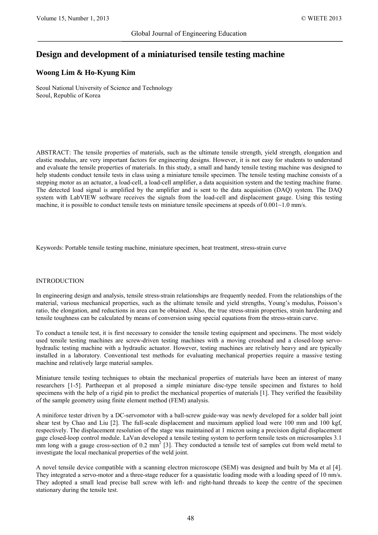# **Design and development of a miniaturised tensile testing machine**

# **Woong Lim & Ho-Kyung Kim**

Seoul National University of Science and Technology Seoul, Republic of Korea

ABSTRACT: The tensile properties of materials, such as the ultimate tensile strength, yield strength, elongation and elastic modulus, are very important factors for engineering designs. However, it is not easy for students to understand and evaluate the tensile properties of materials. In this study, a small and handy tensile testing machine was designed to help students conduct tensile tests in class using a miniature tensile specimen. The tensile testing machine consists of a stepping motor as an actuator, a load-cell, a load-cell amplifier, a data acquisition system and the testing machine frame. The detected load signal is amplified by the amplifier and is sent to the data acquisition (DAQ) system. The DAQ system with LabVIEW software receives the signals from the load-cell and displacement gauge. Using this testing machine, it is possible to conduct tensile tests on miniature tensile specimens at speeds of  $0.001 \sim 1.0$  mm/s.

Keywords: Portable tensile testing machine, miniature specimen, heat treatment, stress-strain curve

# INTRODUCTION

In engineering design and analysis, tensile stress-strain relationships are frequently needed. From the relationships of the material, various mechanical properties, such as the ultimate tensile and yield strengths, Young's modulus, Poisson's ratio, the elongation, and reductions in area can be obtained. Also, the true stress-strain properties, strain hardening and tensile toughness can be calculated by means of conversion using special equations from the stress-strain curve.

To conduct a tensile test, it is first necessary to consider the tensile testing equipment and specimens. The most widely used tensile testing machines are screw-driven testing machines with a moving crosshead and a closed-loop servohydraulic testing machine with a hydraulic actuator. However, testing machines are relatively heavy and are typically installed in a laboratory. Conventional test methods for evaluating mechanical properties require a massive testing machine and relatively large material samples.

Miniature tensile testing techniques to obtain the mechanical properties of materials have been an interest of many researchers [1-5]. Partheepan et al proposed a simple miniature disc-type tensile specimen and fixtures to hold specimens with the help of a rigid pin to predict the mechanical properties of materials [1]. They verified the feasibility of the sample geometry using finite element method (FEM) analysis.

A miniforce tester driven by a DC-servomotor with a ball-screw guide-way was newly developed for a solder ball joint shear test by Chao and Liu [2]. The full-scale displacement and maximum applied load were 100 mm and 100 kgf, respectively. The displacement resolution of the stage was maintained at 1 micron using a precision digital displacement gage closed-loop control module. LaVan developed a tensile testing system to perform tensile tests on microsamples 3.1 mm long with a gauge cross-section of 0.2 mm<sup>2</sup> [3]. They conducted a tensile test of samples cut from weld metal to investigate the local mechanical properties of the weld joint.

A novel tensile device compatible with a scanning electron microscope (SEM) was designed and built by Ma et al [4]. They integrated a servo-motor and a three-stage reducer for a quasistatic loading mode with a loading speed of 10 nm/s. They adopted a small lead precise ball screw with left- and right-hand threads to keep the centre of the specimen stationary during the tensile test.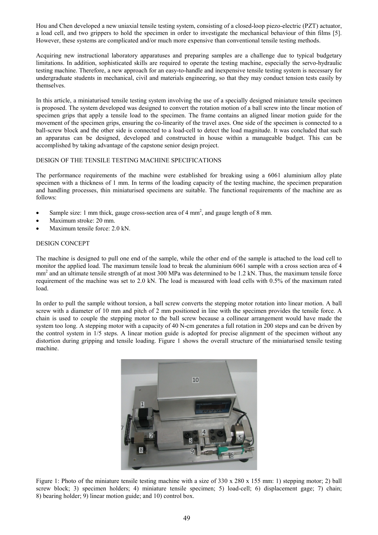Hou and Chen developed a new uniaxial tensile testing system, consisting of a closed-loop piezo-electric (PZT) actuator, a load cell, and two grippers to hold the specimen in order to investigate the mechanical behaviour of thin films [5]. However, these systems are complicated and/or much more expensive than conventional tensile testing methods.

Acquiring new instructional laboratory apparatuses and preparing samples are a challenge due to typical budgetary limitations. In addition, sophisticated skills are required to operate the testing machine, especially the servo-hydraulic testing machine. Therefore, a new approach for an easy-to-handle and inexpensive tensile testing system is necessary for undergraduate students in mechanical, civil and materials engineering, so that they may conduct tension tests easily by themselves.

In this article, a miniaturised tensile testing system involving the use of a specially designed miniature tensile specimen is proposed. The system developed was designed to convert the rotation motion of a ball screw into the linear motion of specimen grips that apply a tensile load to the specimen. The frame contains an aligned linear motion guide for the movement of the specimen grips, ensuring the co-linearity of the travel axes. One side of the specimen is connected to a ball-screw block and the other side is connected to a load-cell to detect the load magnitude. It was concluded that such an apparatus can be designed, developed and constructed in house within a manageable budget. This can be accomplished by taking advantage of the capstone senior design project.

#### DESIGN OF THE TENSILE TESTING MACHINE SPECIFICATIONS

The performance requirements of the machine were established for breaking using a 6061 aluminium alloy plate specimen with a thickness of 1 mm. In terms of the loading capacity of the testing machine, the specimen preparation and handling processes, thin miniaturised specimens are suitable. The functional requirements of the machine are as follows:

- Sample size: 1 mm thick, gauge cross-section area of 4 mm<sup>2</sup>, and gauge length of 8 mm.
- Maximum stroke: 20 mm.
- Maximum tensile force: 2.0 kN.

# DESIGN CONCEPT

The machine is designed to pull one end of the sample, while the other end of the sample is attached to the load cell to monitor the applied load. The maximum tensile load to break the aluminium 6061 sample with a cross section area of 4 mm<sup>2</sup> and an ultimate tensile strength of at most 300 MPa was determined to be 1.2 kN. Thus, the maximum tensile force requirement of the machine was set to 2.0 kN. The load is measured with load cells with 0.5% of the maximum rated load.

In order to pull the sample without torsion, a ball screw converts the stepping motor rotation into linear motion. A ball screw with a diameter of 10 mm and pitch of 2 mm positioned in line with the specimen provides the tensile force. A chain is used to couple the stepping motor to the ball screw because a collinear arrangement would have made the system too long. A stepping motor with a capacity of 40 N-cm generates a full rotation in 200 steps and can be driven by the control system in 1/5 steps. A linear motion guide is adopted for precise alignment of the specimen without any distortion during gripping and tensile loading. Figure 1 shows the overall structure of the miniaturised tensile testing machine.



Figure 1: Photo of the miniature tensile testing machine with a size of 330 x 280 x 155 mm: 1) stepping motor; 2) ball screw block; 3) specimen holders; 4) miniature tensile specimen; 5) load-cell; 6) displacement gage; 7) chain; 8) bearing holder; 9) linear motion guide; and 10) control box.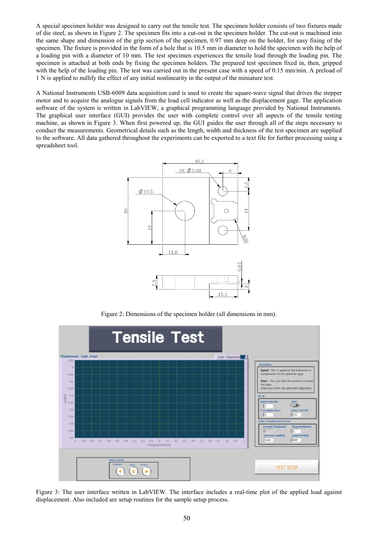A special specimen holder was designed to carry out the tensile test. The specimen holder consists of two fixtures made of die steel, as shown in Figure 2. The specimen fits into a cut-out in the specimen holder. The cut-out is machined into the same shape and dimension of the grip section of the specimen, 0.97 mm deep on the holder, for easy fixing of the specimen. The fixture is provided in the form of a hole that is 10.5 mm in diameter to hold the specimen with the help of a loading pin with a diameter of 10 mm. The test specimen experiences the tensile load through the loading pin. The specimen is attached at both ends by fixing the specimen holders. The prepared test specimen fixed in, then, gripped with the help of the loading pin. The test was carried out in the present case with a speed of 0.15 mm/min. A preload of 1 N is applied to nullify the effect of any initial nonlinearity in the output of the miniature test.

A National Instruments USB-6009 data acquisition card is used to create the square-wave signal that drives the stepper motor and to acquire the analogue signals from the load cell indicator as well as the displacement gage. The application software of the system is written in LabVIEW, a graphical programming language provided by National Instruments. The graphical user interface (GUI) provides the user with complete control over all aspects of the tensile testing machine, as shown in Figure 3. When first powered up, the GUI guides the user through all of the steps necessary to conduct the measurements. Geometrical details such as the length, width and thickness of the test specimen are supplied to the software. All data gathered throughout the experiments can be exported to a text file for further processing using a spreadsheet tool.



Figure 2: Dimensions of the specimen holder (all dimensions in mm).



Figure 3: The user interface written in LabVIEW. The interface includes a real-time plot of the applied load against displacement. Also included are setup routines for the sample setup process.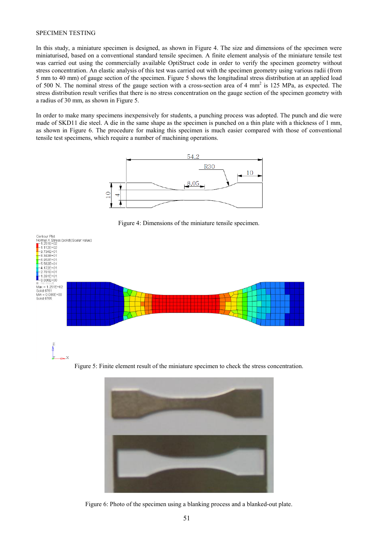# SPECIMEN TESTING

In this study, a miniature specimen is designed, as shown in Figure 4. The size and dimensions of the specimen were miniaturised, based on a conventional standard tensile specimen. A finite element analysis of the miniature tensile test was carried out using the commercially available OptiStruct code in order to verify the specimen geometry without stress concentration. An elastic analysis of this test was carried out with the specimen geometry using various radii (from 5 mm to 40 mm) of gauge section of the specimen. Figure 5 shows the longitudinal stress distribution at an applied load of 500 N. The nominal stress of the gauge section with a cross-section area of 4 mm<sup>2</sup> is 125 MPa, as expected. The stress distribution result verifies that there is no stress concentration on the gauge section of the specimen geometry with a radius of 30 mm, as shown in Figure 5.

In order to make many specimens inexpensively for students, a punching process was adopted. The punch and die were made of SKD11 die steel. A die in the same shape as the specimen is punched on a thin plate with a thickness of 1 mm, as shown in Figure 6. The procedure for making this specimen is much easier compared with those of conventional tensile test specimens, which require a number of machining operations.



Figure 4: Dimensions of the miniature tensile specimen.



Figure 5: Finite element result of the miniature specimen to check the stress concentration.



Figure 6: Photo of the specimen using a blanking process and a blanked-out plate.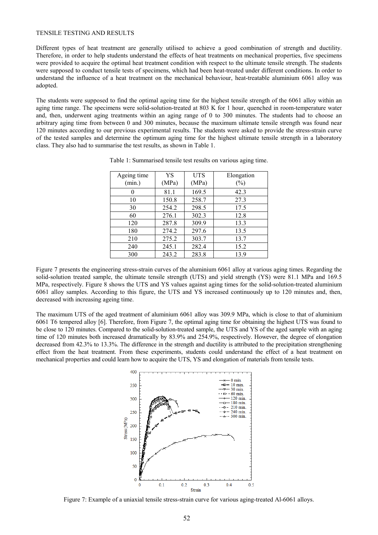#### TENSILE TESTING AND RESULTS

Different types of heat treatment are generally utilised to achieve a good combination of strength and ductility. Therefore, in order to help students understand the effects of heat treatments on mechanical properties, five specimens were provided to acquire the optimal heat treatment condition with respect to the ultimate tensile strength. The students were supposed to conduct tensile tests of specimens, which had been heat-treated under different conditions. In order to understand the influence of a heat treatment on the mechanical behaviour, heat-treatable aluminium 6061 alloy was adopted.

The students were supposed to find the optimal ageing time for the highest tensile strength of the 6061 alloy within an aging time range. The specimens were solid-solution-treated at 803 K for 1 hour, quenched in room-temperature water and, then, underwent aging treatments within an aging range of 0 to 300 minutes. The students had to choose an arbitrary aging time from between 0 and 300 minutes, because the maximum ultimate tensile strength was found near 120 minutes according to our previous experimental results. The students were asked to provide the stress-strain curve of the tested samples and determine the optimum aging time for the highest ultimate tensile strength in a laboratory class. They also had to summarise the test results, as shown in Table 1.

| Ageing time | YS    | <b>UTS</b> | Elongation |
|-------------|-------|------------|------------|
| (min.)      | (MPa) | (MPa)      | $(\%)$     |
| 0           | 81.1  | 169.5      | 42.3       |
| 10          | 150.8 | 258.7      | 27.3       |
| 30          | 254.2 | 298.5      | 17.5       |
| 60          | 276.1 | 302.3      | 12.8       |
| 120         | 287.8 | 309.9      | 13.3       |
| 180         | 274.2 | 297.6      | 13.5       |
| 210         | 275.2 | 303.7      | 13.7       |
| 240         | 245.1 | 282.4      | 15.2       |
| 300         | 243.2 | 283.8      | 13.9       |

Table 1: Summarised tensile test results on various aging time.

Figure 7 presents the engineering stress-strain curves of the aluminium 6061 alloy at various aging times. Regarding the solid-solution treated sample, the ultimate tensile strength (UTS) and yield strength (YS) were 81.1 MPa and 169.5 MPa, respectively. Figure 8 shows the UTS and YS values against aging times for the solid-solution-treated aluminium 6061 alloy samples. According to this figure, the UTS and YS increased continuously up to 120 minutes and, then, decreased with increasing ageing time.

The maximum UTS of the aged treatment of aluminium 6061 alloy was 309.9 MPa, which is close to that of aluminium 6061 T6 tempered alloy [6]. Therefore, from Figure 7, the optimal aging time for obtaining the highest UTS was found to be close to 120 minutes. Compared to the solid-solution-treated sample, the UTS and YS of the aged sample with an aging time of 120 minutes both increased dramatically by 83.9% and 254.9%, respectively. However, the degree of elongation decreased from 42.3% to 13.3%. The difference in the strength and ductility is attributed to the precipitation strengthening effect from the heat treatment. From these experiments, students could understand the effect of a heat treatment on mechanical properties and could learn how to acquire the UTS, YS and elongation of materials from tensile tests.



Figure 7: Example of a uniaxial tensile stress-strain curve for various aging-treated Al-6061 alloys.